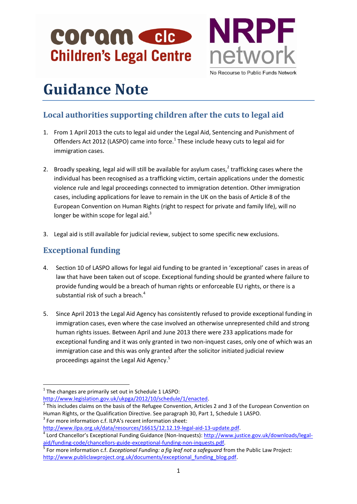# COPQM CCC **Children's Legal Centre**



No Recourse to Public Funds Network

# **Guidance Note**

## **Local authorities supporting children after the cuts to legal aid**

- 1. From 1 April 2013 the cuts to legal aid under the Legal Aid, Sentencing and Punishment of Offenders Act 2012 (LASPO) came into force. $1$  These include heavy cuts to legal aid for immigration cases.
- 2. Broadly speaking, legal aid will still be available for asylum cases, $<sup>2</sup>$  trafficking cases where the</sup> individual has been recognised as a trafficking victim, certain applications under the domestic violence rule and legal proceedings connected to immigration detention. Other immigration cases, including applications for leave to remain in the UK on the basis of Article 8 of the European Convention on Human Rights (right to respect for private and family life), will no longer be within scope for legal aid. $3$
- 3. Legal aid is still available for judicial review, subject to some specific new exclusions.

### **Exceptional funding**

**.** 

- 4. Section 10 of LASPO allows for legal aid funding to be granted in 'exceptional' cases in areas of law that have been taken out of scope. Exceptional funding should be granted where failure to provide funding would be a breach of human rights or enforceable EU rights, or there is a substantial risk of such a breach. 4
- 5. Since April 2013 the Legal Aid Agency has consistently refused to provide exceptional funding in immigration cases, even where the case involved an otherwise unrepresented child and strong human rights issues. Between April and June 2013 there were 233 applications made for exceptional funding and it was only granted in two non-inquest cases, only one of which was an immigration case and this was only granted after the solicitor initiated judicial review proceedings against the Legal Aid Agency.<sup>5</sup>

 $2$  This includes claims on the basis of the Refugee Convention, Articles 2 and 3 of the European Convention on Human Rights, or the Qualification Directive. See paragraph 30, Part 1, Schedule 1 LASPO.  $3$  For more information c.f. ILPA's recent information sheet:

 $1$  The changes are primarily set out in Schedule 1 LASPO:

[http://www.legislation.gov.uk/ukpga/2012/10/schedule/1/enacted.](http://www.legislation.gov.uk/ukpga/2012/10/schedule/1/enacted)

[http://www.ilpa.org.uk/data/resources/16615/12.12.19-legal-aid-13-update.pdf.](http://www.ilpa.org.uk/data/resources/16615/12.12.19-legal-aid-13-update.pdf)

<sup>&</sup>lt;sup>4</sup> Lord Chancellor's Exceptional Funding Guidance (Non-Inquests): [http://www.justice.gov.uk/downloads/legal](http://www.justice.gov.uk/downloads/legal-aid/funding-code/chancellors-guide-exceptional-funding-non-inquests.pdf)[aid/funding-code/chancellors-guide-exceptional-funding-non-inquests.pdf.](http://www.justice.gov.uk/downloads/legal-aid/funding-code/chancellors-guide-exceptional-funding-non-inquests.pdf)

<sup>5</sup> For more information c.f. *Exceptional Funding: a fig leaf not a safeguard* from the Public Law Project: [http://www.publiclawproject.org.uk/documents/exceptional\\_funding\\_blog.pdf.](http://www.publiclawproject.org.uk/documents/exceptional_funding_blog.pdf)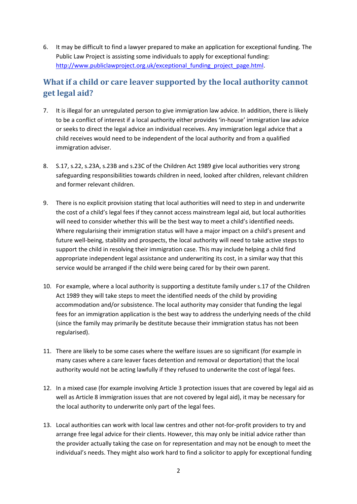6. It may be difficult to find a lawyer prepared to make an application for exceptional funding. The Public Law Project is assisting some individuals to apply for exceptional funding: [http://www.publiclawproject.org.uk/exceptional\\_funding\\_project\\_page.html.](http://www.publiclawproject.org.uk/exceptional_funding_project_page.html)

#### **What if a child or care leaver supported by the local authority cannot get legal aid?**

- 7. It is illegal for an unregulated person to give immigration law advice. In addition, there is likely to be a conflict of interest if a local authority either provides 'in-house' immigration law advice or seeks to direct the legal advice an individual receives. Any immigration legal advice that a child receives would need to be independent of the local authority and from a qualified immigration adviser.
- 8. S.17, s.22, s.23A, s.23B and s.23C of the Children Act 1989 give local authorities very strong safeguarding responsibilities towards children in need, looked after children, relevant children and former relevant children.
- 9. There is no explicit provision stating that local authorities will need to step in and underwrite the cost of a child's legal fees if they cannot access mainstream legal aid, but local authorities will need to consider whether this will be the best way to meet a child's identified needs. Where regularising their immigration status will have a major impact on a child's present and future well-being, stability and prospects, the local authority will need to take active steps to support the child in resolving their immigration case. This may include helping a child find appropriate independent legal assistance and underwriting its cost, in a similar way that this service would be arranged if the child were being cared for by their own parent.
- 10. For example, where a local authority is supporting a destitute family under s.17 of the Children Act 1989 they will take steps to meet the identified needs of the child by providing accommodation and/or subsistence. The local authority may consider that funding the legal fees for an immigration application is the best way to address the underlying needs of the child (since the family may primarily be destitute because their immigration status has not been regularised).
- 11. There are likely to be some cases where the welfare issues are so significant (for example in many cases where a care leaver faces detention and removal or deportation) that the local authority would not be acting lawfully if they refused to underwrite the cost of legal fees.
- 12. In a mixed case (for example involving Article 3 protection issues that are covered by legal aid as well as Article 8 immigration issues that are not covered by legal aid), it may be necessary for the local authority to underwrite only part of the legal fees.
- 13. Local authorities can work with local law centres and other not-for-profit providers to try and arrange free legal advice for their clients. However, this may only be initial advice rather than the provider actually taking the case on for representation and may not be enough to meet the individual's needs. They might also work hard to find a solicitor to apply for exceptional funding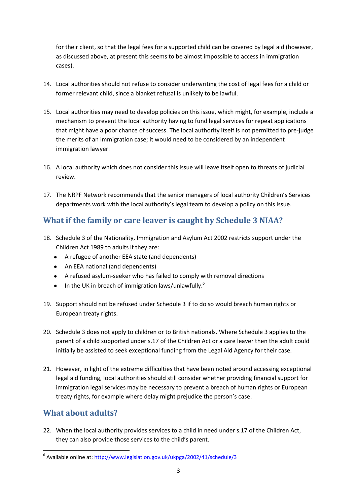for their client, so that the legal fees for a supported child can be covered by legal aid (however, as discussed above, at present this seems to be almost impossible to access in immigration cases).

- 14. Local authorities should not refuse to consider underwriting the cost of legal fees for a child or former relevant child, since a blanket refusal is unlikely to be lawful.
- 15. Local authorities may need to develop policies on this issue, which might, for example, include a mechanism to prevent the local authority having to fund legal services for repeat applications that might have a poor chance of success. The local authority itself is not permitted to pre-judge the merits of an immigration case; it would need to be considered by an independent immigration lawyer.
- 16. A local authority which does not consider this issue will leave itself open to threats of judicial review.
- 17. The NRPF Network recommends that the senior managers of local authority Children's Services departments work with the local authority's legal team to develop a policy on this issue.

#### **What if the family or care leaver is caught by Schedule 3 NIAA?**

- 18. Schedule 3 of the Nationality, Immigration and Asylum Act 2002 restricts support under the Children Act 1989 to adults if they are:
	- A refugee of another EEA state (and dependents)
	- An EEA national (and dependents)
	- A refused asylum-seeker who has failed to comply with removal directions
	- In the UK in breach of immigration laws/unlawfully. $6$  $\bullet$
- 19. Support should not be refused under Schedule 3 if to do so would breach human rights or European treaty rights.
- 20. Schedule 3 does not apply to children or to British nationals. Where Schedule 3 applies to the parent of a child supported under s.17 of the Children Act or a care leaver then the adult could initially be assisted to seek exceptional funding from the Legal Aid Agency for their case.
- 21. However, in light of the extreme difficulties that have been noted around accessing exceptional legal aid funding, local authorities should still consider whether providing financial support for immigration legal services may be necessary to prevent a breach of human rights or European treaty rights, for example where delay might prejudice the person's case.

#### **What about adults?**

**.** 

22. When the local authority provides services to a child in need under s.17 of the Children Act, they can also provide those services to the child's parent.

<sup>&</sup>lt;sup>6</sup> Available online at[: http://www.legislation.gov.uk/ukpga/2002/41/schedule/3](http://www.legislation.gov.uk/ukpga/2002/41/schedule/3)